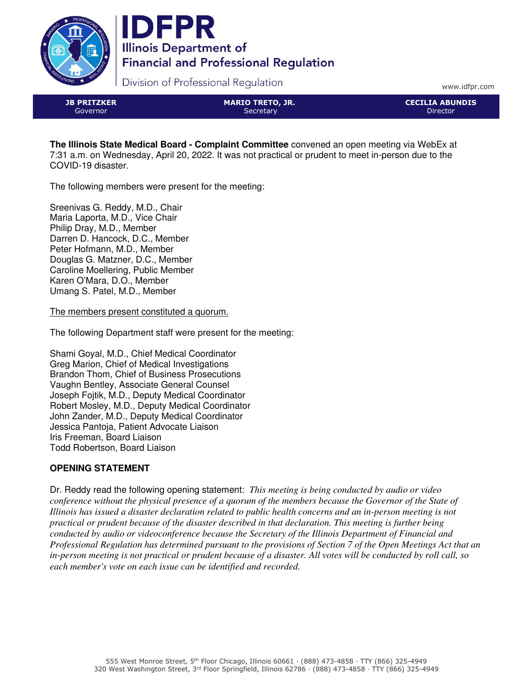



Division of Professional Regulation

www.idfpr.com

| <b>JB PRITZKER</b> |
|--------------------|
| Governor           |

MARIO TRETO, JR. **Secretary** 

CECILIA ABUNDIS Director

**The Illinois State Medical Board - Complaint Committee** convened an open meeting via WebEx at 7:31 a.m. on Wednesday, April 20, 2022. It was not practical or prudent to meet in-person due to the COVID-19 disaster.

The following members were present for the meeting:

Sreenivas G. Reddy, M.D., Chair Maria Laporta, M.D., Vice Chair Philip Dray, M.D., Member Darren D. Hancock, D.C., Member Peter Hofmann, M.D., Member Douglas G. Matzner, D.C., Member Caroline Moellering, Public Member Karen O'Mara, D.O., Member Umang S. Patel, M.D., Member

The members present constituted a quorum.

The following Department staff were present for the meeting:

Shami Goyal, M.D., Chief Medical Coordinator Greg Marion, Chief of Medical Investigations Brandon Thom, Chief of Business Prosecutions Vaughn Bentley, Associate General Counsel Joseph Fojtik, M.D., Deputy Medical Coordinator Robert Mosley, M.D., Deputy Medical Coordinator John Zander, M.D., Deputy Medical Coordinator Jessica Pantoja, Patient Advocate Liaison Iris Freeman, Board Liaison Todd Robertson, Board Liaison

# **OPENING STATEMENT**

Dr. Reddy read the following opening statement: *This meeting is being conducted by audio or video conference without the physical presence of a quorum of the members because the Governor of the State of Illinois has issued a disaster declaration related to public health concerns and an in-person meeting is not practical or prudent because of the disaster described in that declaration. This meeting is further being conducted by audio or videoconference because the Secretary of the Illinois Department of Financial and Professional Regulation has determined pursuant to the provisions of Section 7 of the Open Meetings Act that an in-person meeting is not practical or prudent because of a disaster. All votes will be conducted by roll call, so each member's vote on each issue can be identified and recorded.*